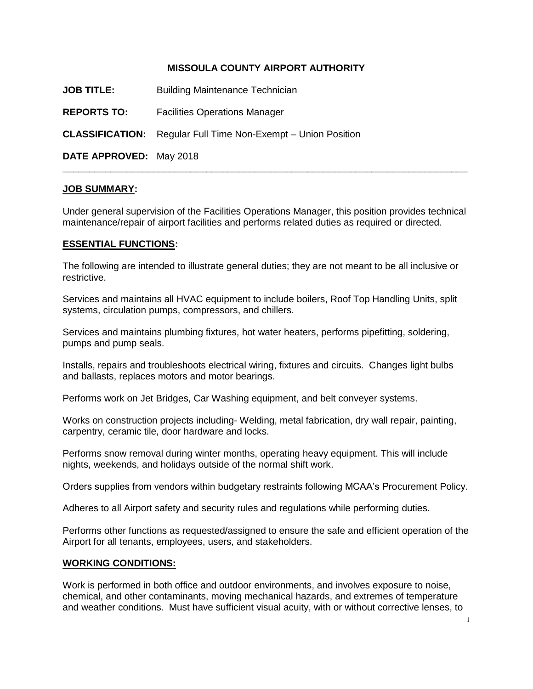### **MISSOULA COUNTY AIRPORT AUTHORITY**

**JOB TITLE:** Building Maintenance Technician

**REPORTS TO:** Facilities Operations Manager

**CLASSIFICATION:** Regular Full Time Non-Exempt – Union Position

**DATE APPROVED:** May 2018

#### **JOB SUMMARY:**

Under general supervision of the Facilities Operations Manager, this position provides technical maintenance/repair of airport facilities and performs related duties as required or directed.

\_\_\_\_\_\_\_\_\_\_\_\_\_\_\_\_\_\_\_\_\_\_\_\_\_\_\_\_\_\_\_\_\_\_\_\_\_\_\_\_\_\_\_\_\_\_\_\_\_\_\_\_\_\_\_\_\_\_\_\_\_\_\_\_\_\_\_\_\_\_\_\_\_\_\_\_

### **ESSENTIAL FUNCTIONS:**

The following are intended to illustrate general duties; they are not meant to be all inclusive or restrictive.

Services and maintains all HVAC equipment to include boilers, Roof Top Handling Units, split systems, circulation pumps, compressors, and chillers.

Services and maintains plumbing fixtures, hot water heaters, performs pipefitting, soldering, pumps and pump seals.

Installs, repairs and troubleshoots electrical wiring, fixtures and circuits. Changes light bulbs and ballasts, replaces motors and motor bearings.

Performs work on Jet Bridges, Car Washing equipment, and belt conveyer systems.

Works on construction projects including- Welding, metal fabrication, dry wall repair, painting, carpentry, ceramic tile, door hardware and locks.

Performs snow removal during winter months, operating heavy equipment. This will include nights, weekends, and holidays outside of the normal shift work.

Orders supplies from vendors within budgetary restraints following MCAA's Procurement Policy.

Adheres to all Airport safety and security rules and regulations while performing duties.

Performs other functions as requested/assigned to ensure the safe and efficient operation of the Airport for all tenants, employees, users, and stakeholders.

#### **WORKING CONDITIONS:**

Work is performed in both office and outdoor environments, and involves exposure to noise, chemical, and other contaminants, moving mechanical hazards, and extremes of temperature and weather conditions. Must have sufficient visual acuity, with or without corrective lenses, to